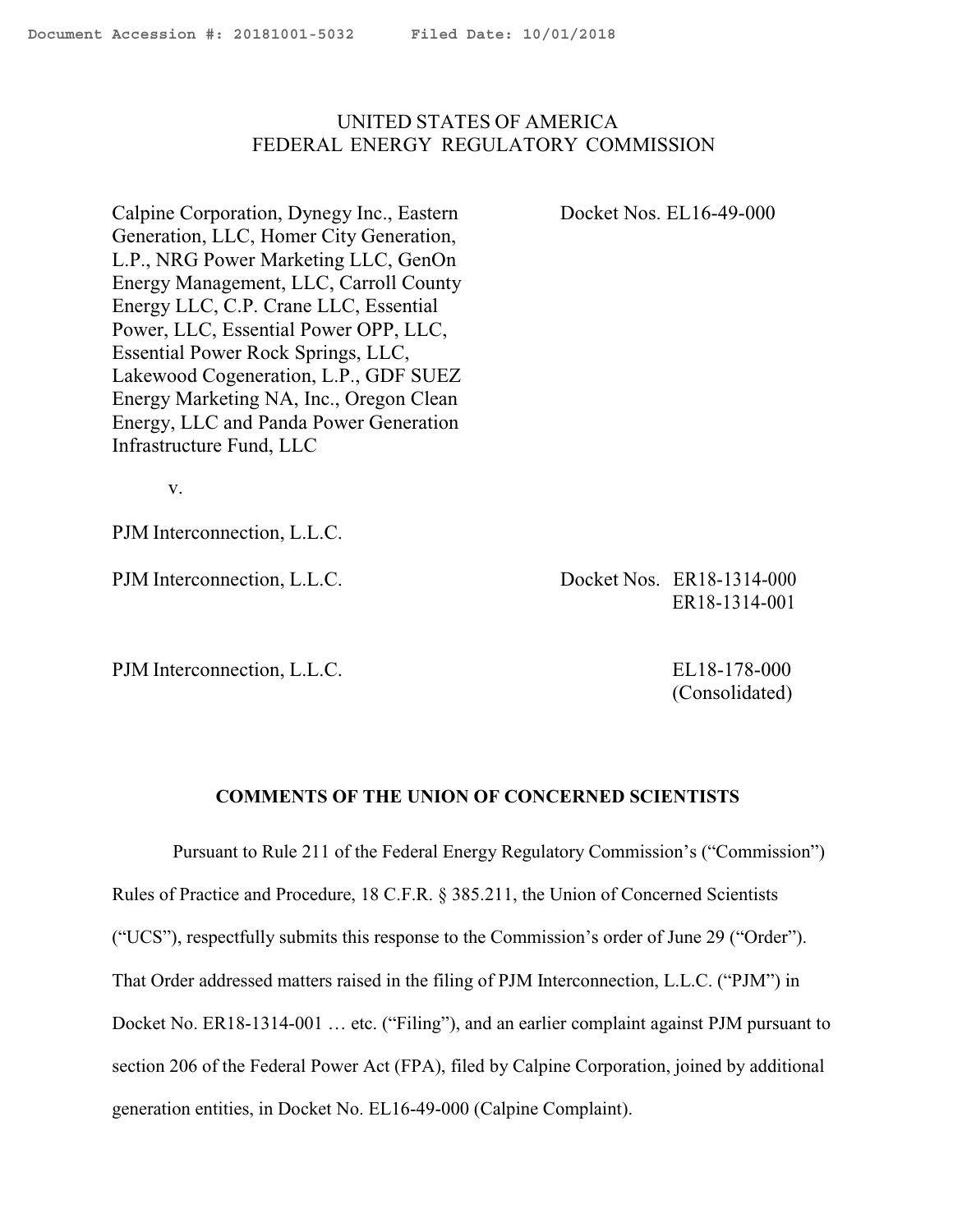## <span id="page-0-0"></span>UNITED STATES OF AMERICA FEDERAL ENERGY REGULATORY COMMISSION

Calpine Corporation, Dynegy Inc., Eastern Docket Nos. EL16-49-000 Generation, LLC, Homer City Generation, L.P., NRG Power Marketing LLC, GenOn Energy Management, LLC, Carroll County Energy LLC, C.P. Crane LLC, Essential Power, LLC, Essential Power OPP, LLC, Essential Power Rock Springs, LLC, Lakewood Cogeneration, L.P., GDF SUEZ Energy Marketing NA, Inc., Oregon Clean Energy, LLC and Panda Power Generation Infrastructure Fund, LLC

v.

PJM Interconnection, L.L.C.

PJM Interconnection, L.L.C. Docket Nos. ER18-1314-000 ER18-1314-001

PJM Interconnection, L.L.C. EL18-178-000

(Consolidated)

## **COMMENTS OF THE UNION OF CONCERNED SCIENTISTS**

Pursuant to Rule 211 of the Federal Energy Regulatory Commission's ("Commission") Rules of Practice and Procedure, 18 C.F.R. § 385.211, the Union of Concerned Scientists ("UCS"), respectfully submits this response to the Commission's order of June 29 ("Order"). That Order addressed matters raised in the filing of PJM Interconnection, L.L.C. ("PJM") in Docket No. ER18-1314-001 ... etc. ("Filing"), and an earlier complaint against PJM pursuant to section 206 of the Federal Power Act (FPA), filed by Calpine Corporation, joined by additional generation entities, in Docket No. EL16-49-000 (Calpine Complaint).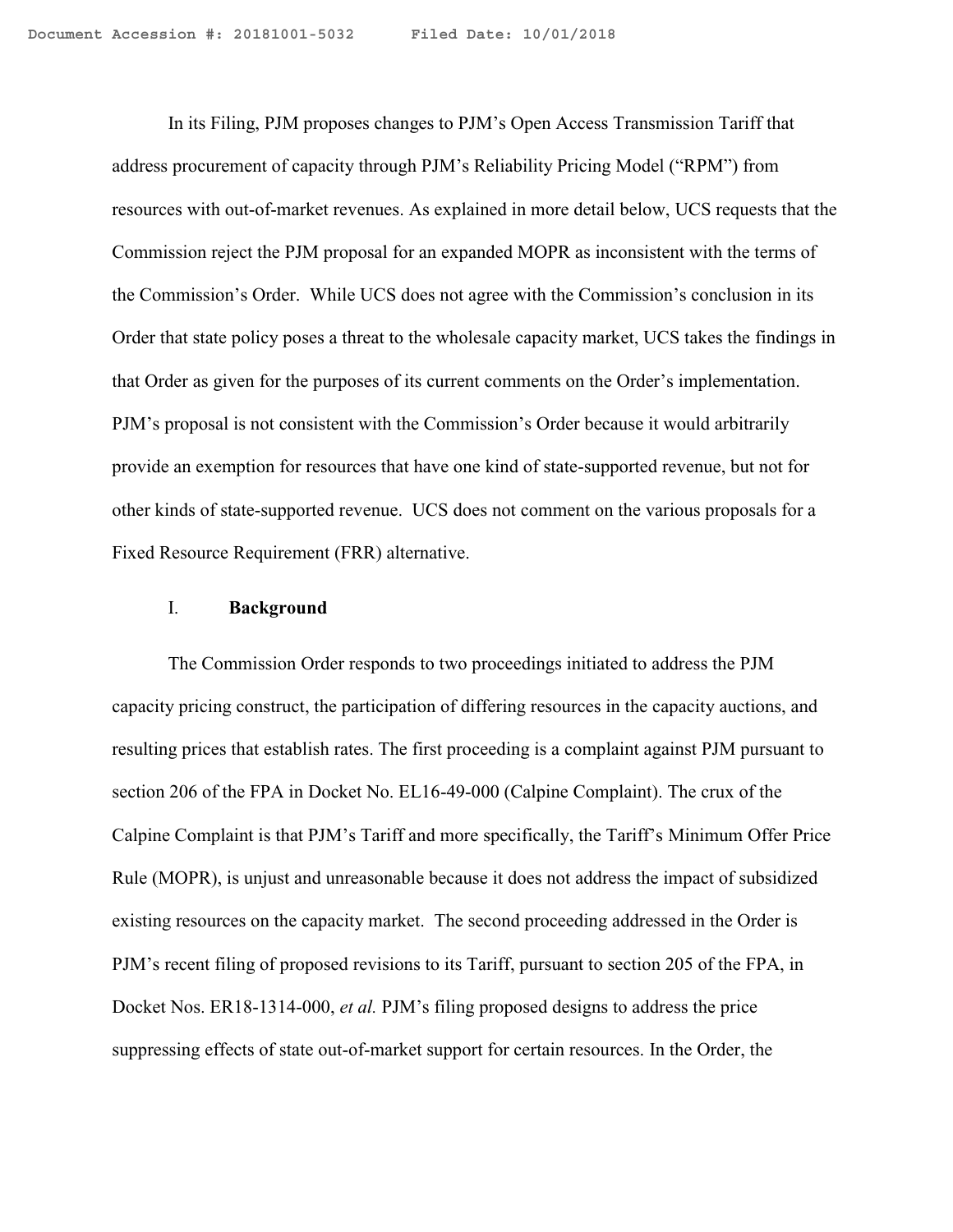In its Filing, PJM proposes changes to PJM's Open Access Transmission Tariff that address procurement of capacity through PJM's Reliability Pricing Model ("RPM") from resources with out-of-market revenues. As explained in more detail below, UCS requests that the Commission reject the PJM proposal for an expanded MOPR as inconsistent with the terms of the Commission's Order. While UCS does not agree with the Commission's conclusion in its Order that state policy poses a threat to the wholesale capacity market, UCS takes the findings in that Order as given for the purposes of its current comments on the Order's implementation. PJM's proposal is not consistent with the Commission's Order because it would arbitrarily provide an exemption for resources that have one kind of state-supported revenue, but not for other kinds of state-supported revenue. UCS does not comment on the various proposals for a Fixed Resource Requirement (FRR) alternative.

#### I. **Background**

The Commission Order responds to two proceedings initiated to address the PJM capacity pricing construct, the participation of differing resources in the capacity auctions, and resulting prices that establish rates. The first proceeding is a complaint against PJM pursuant to section 206 of the FPA in Docket No. EL16-49-000 (Calpine Complaint). The crux of the Calpine Complaint is that PJM's Tariff and more specifically, the Tariff's Minimum Offer Price Rule (MOPR), is unjust and unreasonable because it does not address the impact of subsidized existing resources on the capacity market. The second proceeding addressed in the Order is PJM's recent filing of proposed revisions to its Tariff, pursuant to section 205 of the FPA, in Docket Nos. ER18-1314-000, *et al.* PJM's filing proposed designs to address the price suppressing effects of state out-of-market support for certain resources. In the Order, the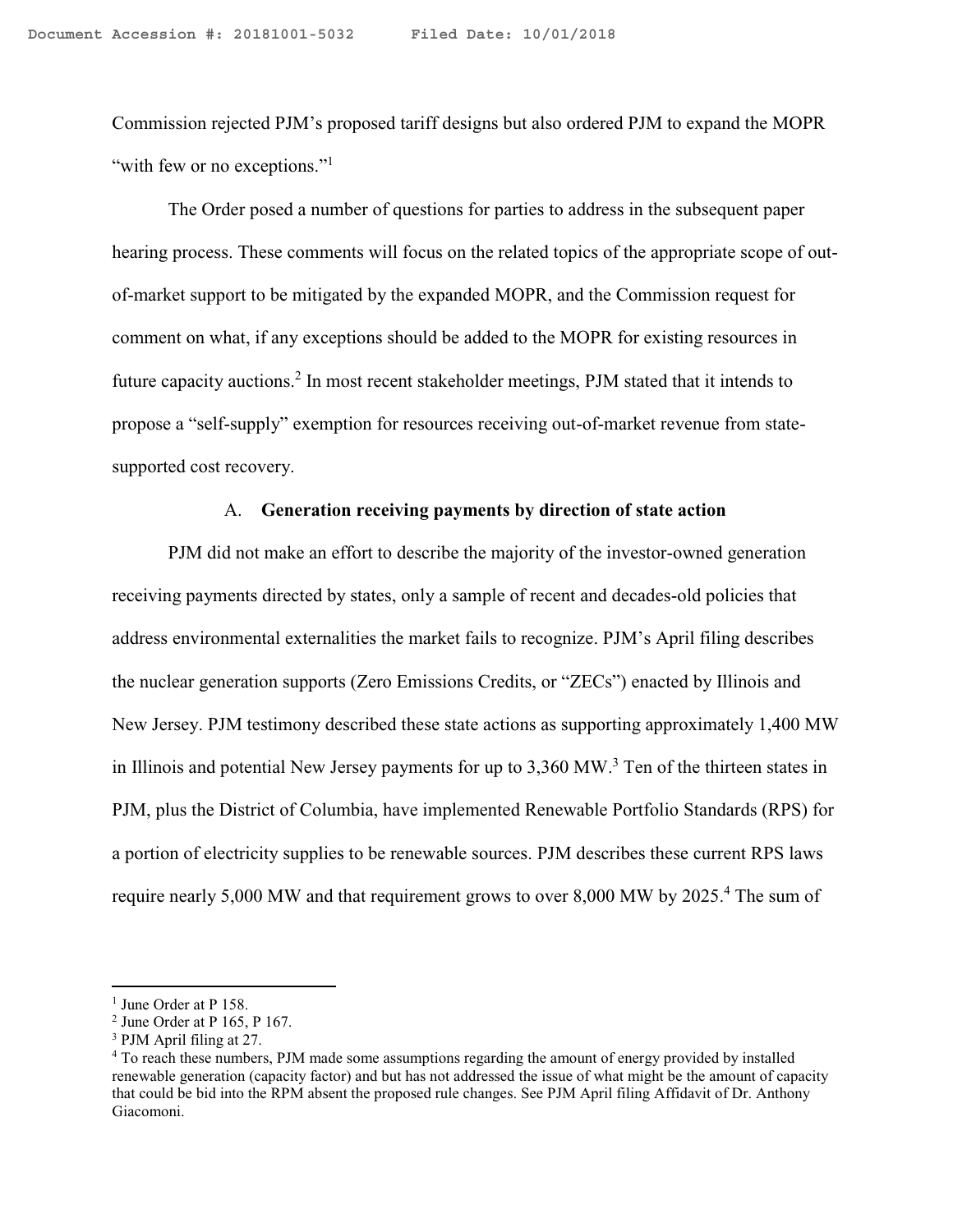Commission rejected PJM's proposed tariff designs but also ordered PJM to expand the MOPR "with few or no exceptions."<sup>1</sup>

The Order posed a number of questions for parties to address in the subsequent paper hearing process. These comments will focus on the related topics of the appropriate scope of outof-market support to be mitigated by the expanded MOPR, and the Commission request for comment on what, if any exceptions should be added to the MOPR for existing resources in future capacity auctions.<sup>2</sup> In most recent stakeholder meetings, PJM stated that it intends to propose a "self-supply" exemption for resources receiving out-of-market revenue from statesupported cost recovery.

#### A. **Generation receiving payments by direction of state action**

PJM did not make an effort to describe the majority of the investor-owned generation receiving payments directed by states, only a sample of recent and decades-old policies that address environmental externalities the market fails to recognize. PJM's April filing describes the nuclear generation supports (Zero Emissions Credits, or "ZECs") enacted by Illinois and New Jersey. PJM testimony described these state actions as supporting approximately 1,400 MW in Illinois and potential New Jersey payments for up to 3,360 MW.<sup>3</sup> Ten of the thirteen states in PJM, plus the District of Columbia, have implemented Renewable Portfolio Standards (RPS) for a portion of electricity supplies to be renewable sources. PJM describes these current RPS laws require nearly 5,000 MW and that requirement grows to over 8,000 MW by 2025.<sup>4</sup> The sum of

<sup>&</sup>lt;sup>1</sup> June Order at P 158.

<sup>2</sup> June Order at P 165, P 167.

<sup>3</sup> PJM April filing at 27.

<sup>4</sup> To reach these numbers, PJM made some assumptions regarding the amount of energy provided by installed renewable generation (capacity factor) and but has not addressed the issue of what might be the amount of capacity that could be bid into the RPM absent the proposed rule changes. See PJM April filing Affidavit of Dr. Anthony Giacomoni.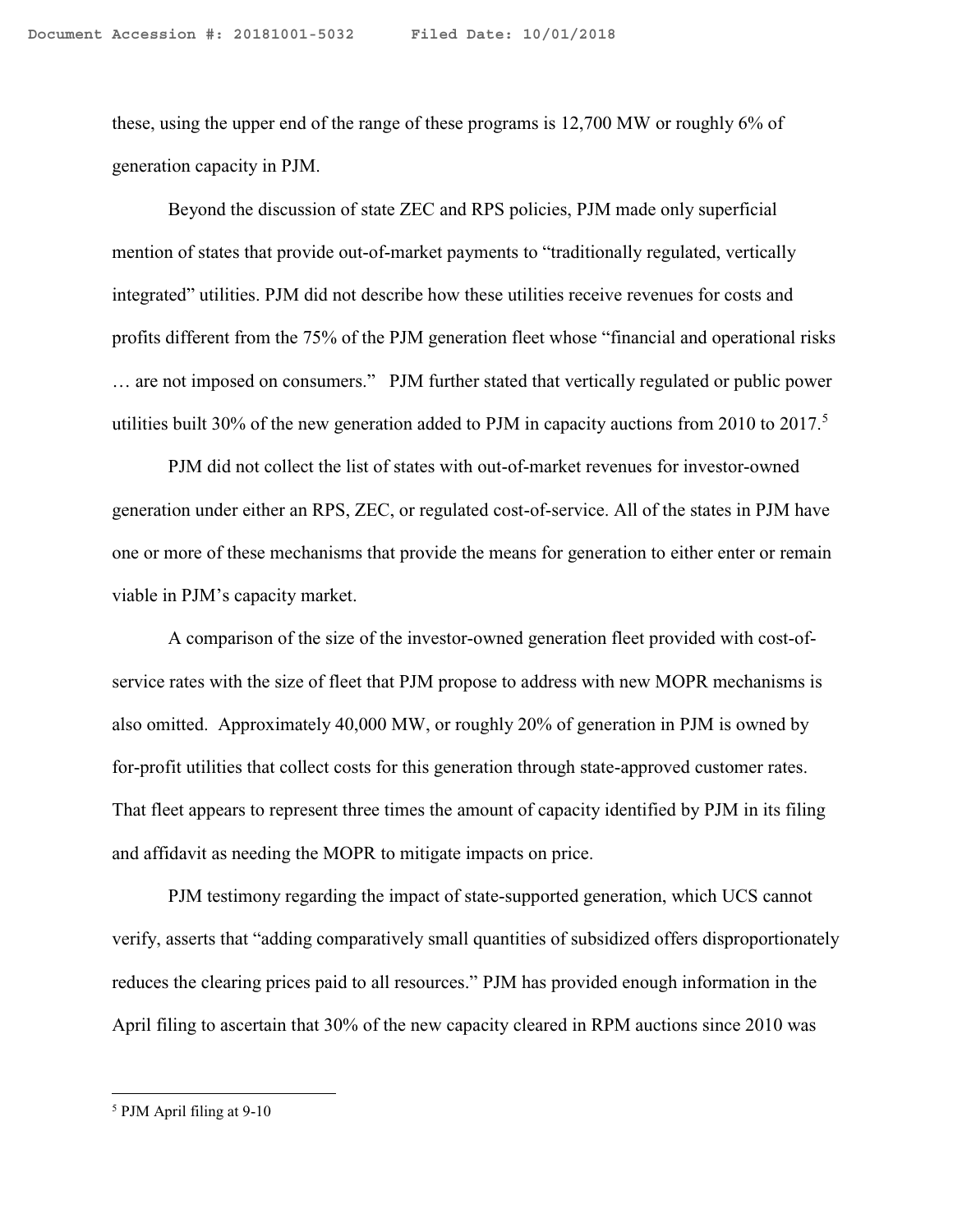these, using the upper end of the range of these programs is 12,700 MW or roughly 6% of generation capacity in PJM.

Beyond the discussion of state ZEC and RPS policies, PJM made only superficial mention of states that provide out-of-market payments to "traditionally regulated, vertically integrated" utilities. PJM did not describe how these utilities receive revenues for costs and profits different from the 75% of the PJM generation fleet whose "financial and operational risks … are not imposed on consumers." PJM further stated that vertically regulated or public power utilities built 30% of the new generation added to PJM in capacity auctions from 2010 to 2017.<sup>5</sup>

PJM did not collect the list of states with out-of-market revenues for investor-owned generation under either an RPS, ZEC, or regulated cost-of-service. All of the states in PJM have one or more of these mechanisms that provide the means for generation to either enter or remain viable in PJM's capacity market.

A comparison of the size of the investor-owned generation fleet provided with cost-ofservice rates with the size of fleet that PJM propose to address with new MOPR mechanisms is also omitted. Approximately 40,000 MW, or roughly 20% of generation in PJM is owned by for-profit utilities that collect costs for this generation through state-approved customer rates. That fleet appears to represent three times the amount of capacity identified by PJM in its filing and affidavit as needing the MOPR to mitigate impacts on price.

PJM testimony regarding the impact of state-supported generation, which UCS cannot verify, asserts that "adding comparatively small quantities of subsidized offers disproportionately reduces the clearing prices paid to all resources." PJM has provided enough information in the April filing to ascertain that 30% of the new capacity cleared in RPM auctions since 2010 was

<sup>5</sup> PJM April filing at 9-10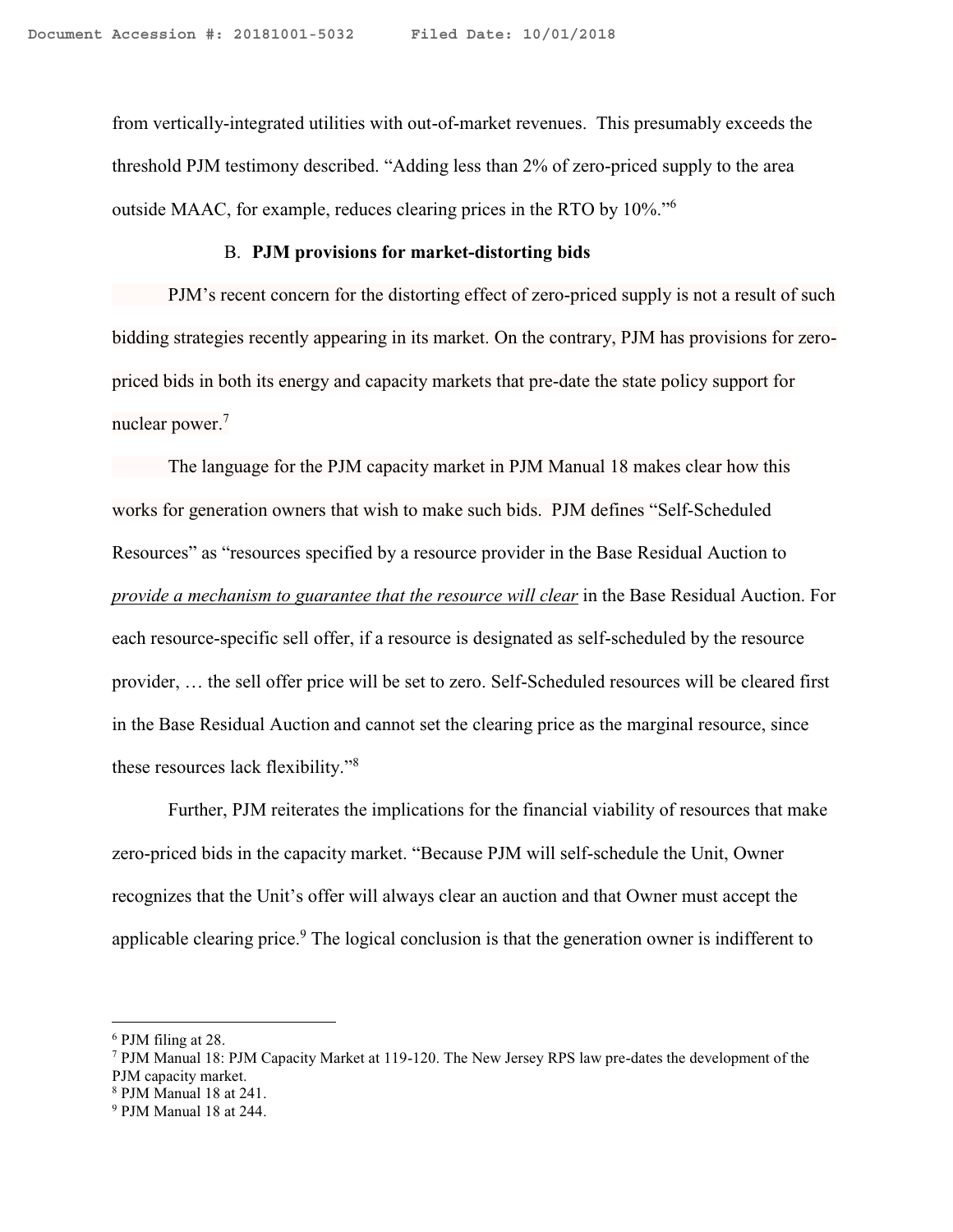from vertically-integrated utilities with out-of-market revenues. This presumably exceeds the threshold PJM testimony described. "Adding less than 2% of zero-priced supply to the area outside MAAC, for example, reduces clearing prices in the RTO by 10%."<sup>6</sup>

#### B. **PJM provisions for market-distorting bids**

PJM's recent concern for the distorting effect of zero-priced supply is not a result of such bidding strategies recently appearing in its market. On the contrary, PJM has provisions for zeropriced bids in both its energy and capacity markets that pre-date the state policy support for nuclear power.<sup>7</sup>

The language for the PJM capacity market in PJM Manual 18 makes clear how this works for generation owners that wish to make such bids. PJM defines "Self-Scheduled Resources" as "resources specified by a resource provider in the Base Residual Auction to *provide a mechanism to guarantee that the resource will clear* in the Base Residual Auction. For each resource-specific sell offer, if a resource is designated as self-scheduled by the resource provider, … the sell offer price will be set to zero. Self-Scheduled resources will be cleared first in the Base Residual Auction and cannot set the clearing price as the marginal resource, since these resources lack flexibility." 8

Further, PJM reiterates the implications for the financial viability of resources that make zero-priced bids in the capacity market. "Because PJM will self-schedule the Unit, Owner recognizes that the Unit's offer will always clear an auction and that Owner must accept the applicable clearing price.<sup>9</sup> The logical conclusion is that the generation owner is indifferent to

l

<sup>6</sup> PJM filing at 28.

<sup>7</sup> PJM Manual 18: PJM Capacity Market at 119-120. The New Jersey RPS law pre-dates the development of the PJM capacity market.

<sup>8</sup> PJM Manual 18 at 241.

<sup>9</sup> PJM Manual 18 at 244.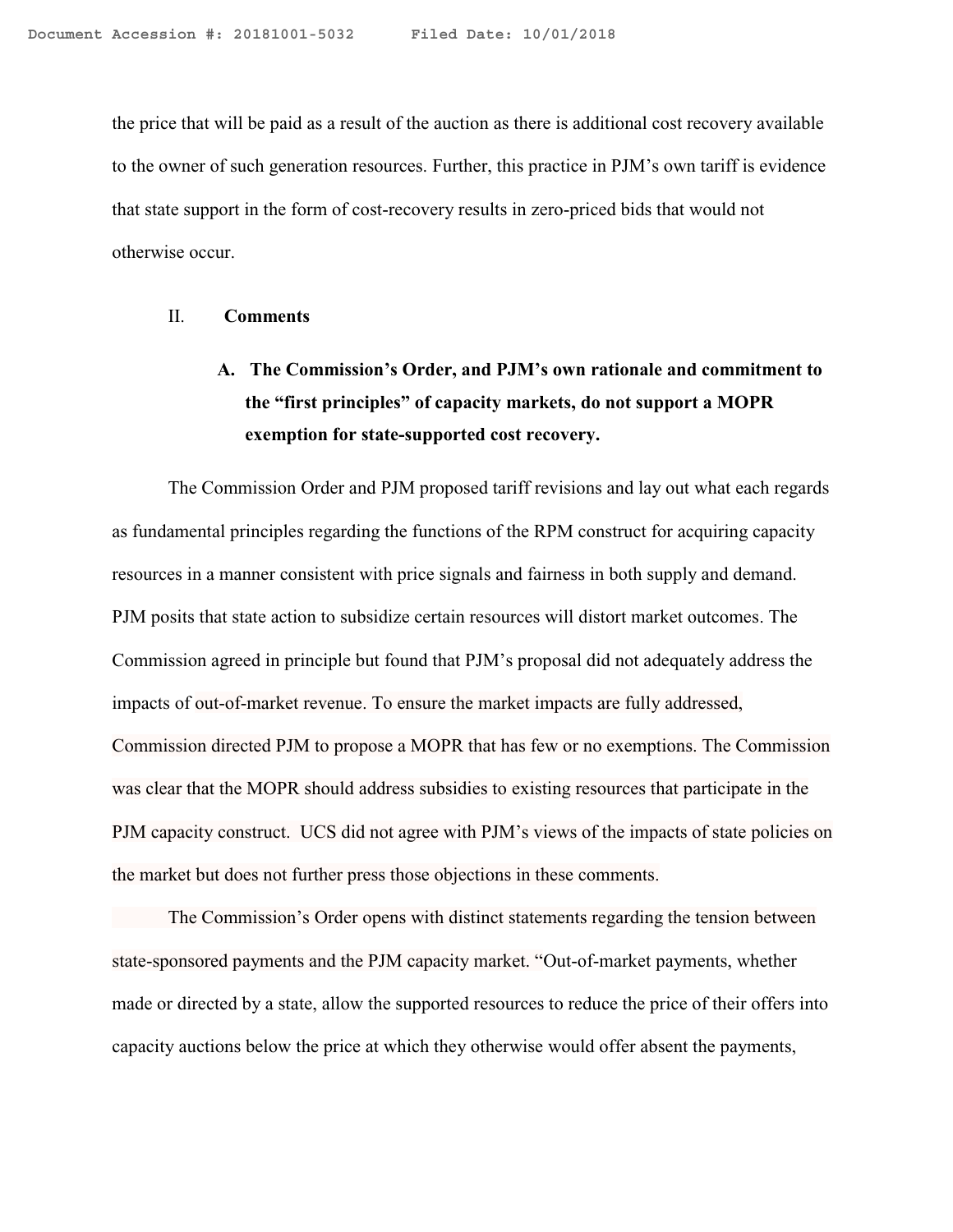the price that will be paid as a result of the auction as there is additional cost recovery available to the owner of such generation resources. Further, this practice in PJM's own tariff is evidence that state support in the form of cost-recovery results in zero-priced bids that would not otherwise occur.

#### II. **Comments**

# **A. The Commission's Order, and PJM's own rationale and commitment to the "first principles" of capacity markets, do not support a MOPR exemption for state-supported cost recovery.**

The Commission Order and PJM proposed tariff revisions and lay out what each regards as fundamental principles regarding the functions of the RPM construct for acquiring capacity resources in a manner consistent with price signals and fairness in both supply and demand. PJM posits that state action to subsidize certain resources will distort market outcomes. The Commission agreed in principle but found that PJM's proposal did not adequately address the impacts of out-of-market revenue. To ensure the market impacts are fully addressed, Commission directed PJM to propose a MOPR that has few or no exemptions. The Commission was clear that the MOPR should address subsidies to existing resources that participate in the PJM capacity construct. UCS did not agree with PJM's views of the impacts of state policies on the market but does not further press those objections in these comments.

The Commission's Order opens with distinct statements regarding the tension between state-sponsored payments and the PJM capacity market. "Out-of-market payments, whether made or directed by a state, allow the supported resources to reduce the price of their offers into capacity auctions below the price at which they otherwise would offer absent the payments,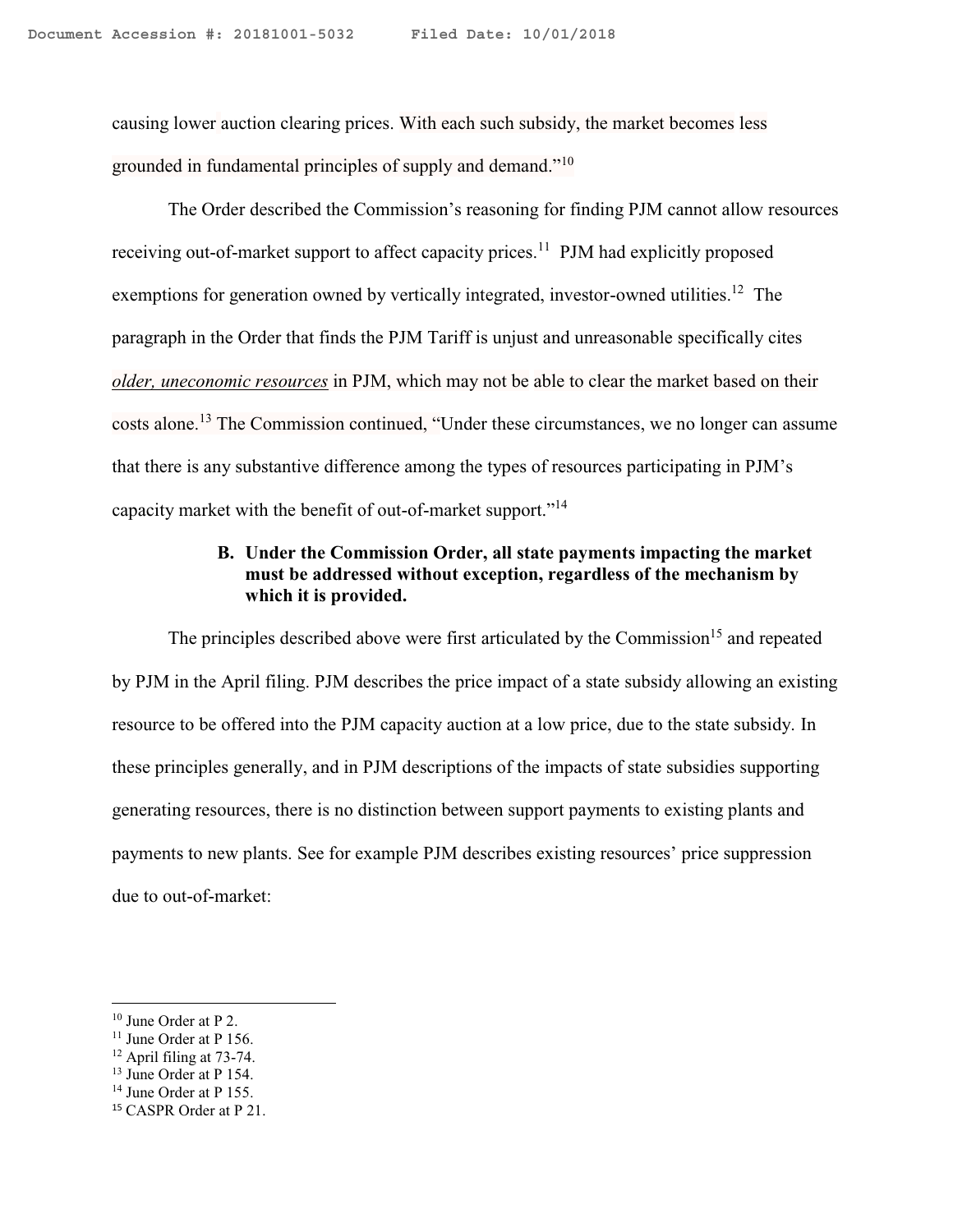causing lower auction clearing prices. With each such subsidy, the market becomes less grounded in fundamental principles of supply and demand."<sup>10</sup>

The Order described the Commission's reasoning for finding PJM cannot allow resources receiving out-of-market support to affect capacity prices.<sup>11</sup> PJM had explicitly proposed exemptions for generation owned by vertically integrated, investor-owned utilities.<sup>12</sup> The paragraph in the Order that finds the PJM Tariff is unjust and unreasonable specifically cites *older, uneconomic resources* in PJM, which may not be able to clear the market based on their costs alone.<sup>13</sup> The Commission continued, "Under these circumstances, we no longer can assume that there is any substantive difference among the types of resources participating in PJM's capacity market with the benefit of out-of-market support."<sup>14</sup>

# **B. Under the Commission Order, all state payments impacting the market must be addressed without exception, regardless of the mechanism by which it is provided.**

The principles described above were first articulated by the Commission<sup>15</sup> and repeated by PJM in the April filing. PJM describes the price impact of a state subsidy allowing an existing resource to be offered into the PJM capacity auction at a low price, due to the state subsidy. In these principles generally, and in PJM descriptions of the impacts of state subsidies supporting generating resources, there is no distinction between support payments to existing plants and payments to new plants. See for example PJM describes existing resources' price suppression due to out-of-market:

<sup>10</sup> June Order at P 2.

<sup>&</sup>lt;sup>11</sup> June Order at P 156.

 $12$  April filing at 73-74.

<sup>13</sup> June Order at P 154.

<sup>&</sup>lt;sup>14</sup> June Order at P 155.

<sup>15</sup> CASPR Order at P 21.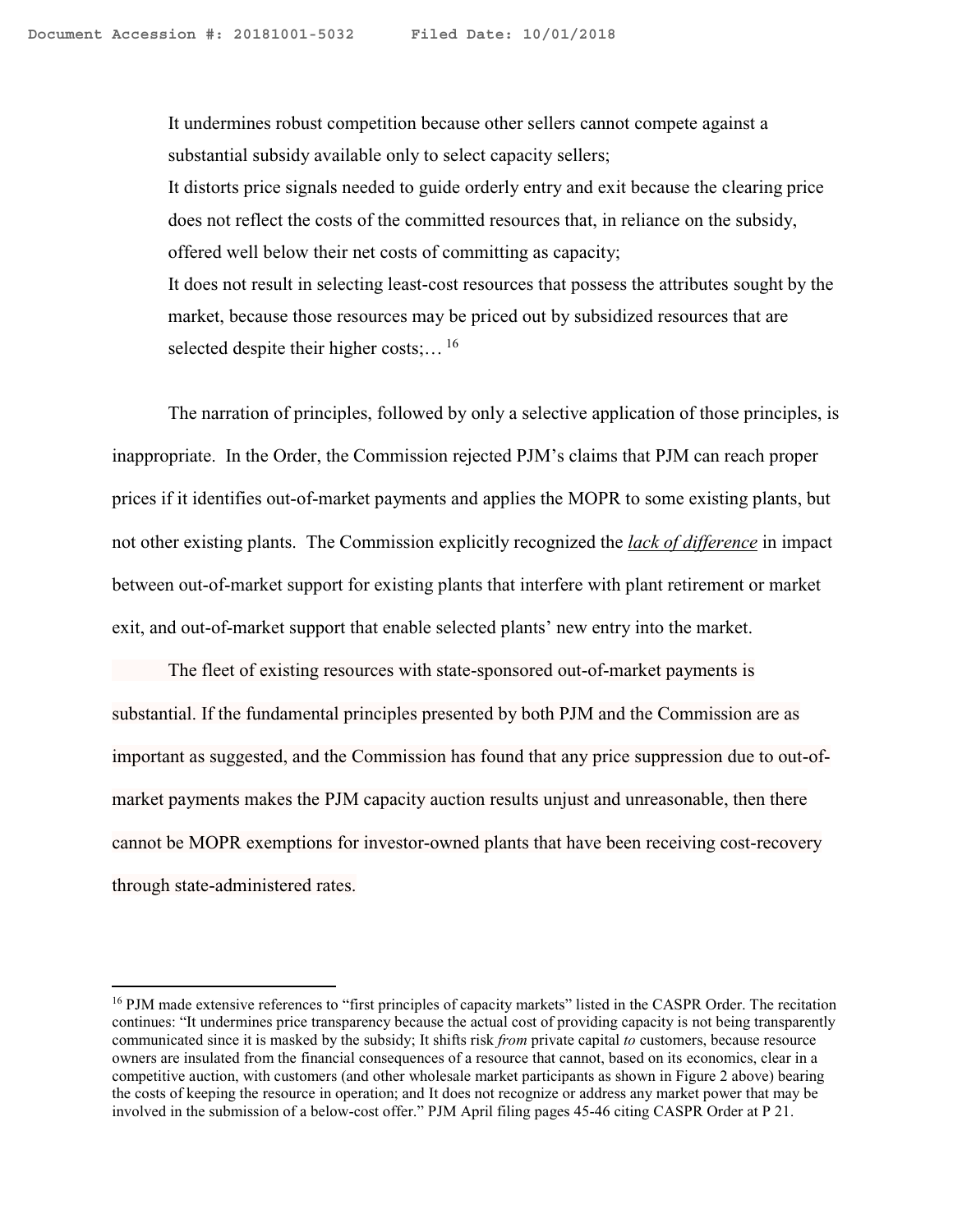It undermines robust competition because other sellers cannot compete against a substantial subsidy available only to select capacity sellers; It distorts price signals needed to guide orderly entry and exit because the clearing price does not reflect the costs of the committed resources that, in reliance on the subsidy, offered well below their net costs of committing as capacity; It does not result in selecting least-cost resources that possess the attributes sought by the market, because those resources may be priced out by subsidized resources that are selected despite their higher costs;...  $^{16}$ 

The narration of principles, followed by only a selective application of those principles, is inappropriate. In the Order, the Commission rejected PJM's claims that PJM can reach proper prices if it identifies out-of-market payments and applies the MOPR to some existing plants, but not other existing plants. The Commission explicitly recognized the *lack of difference* in impact between out-of-market support for existing plants that interfere with plant retirement or market exit, and out-of-market support that enable selected plants' new entry into the market.

The fleet of existing resources with state-sponsored out-of-market payments is substantial. If the fundamental principles presented by both PJM and the Commission are as important as suggested, and the Commission has found that any price suppression due to out-ofmarket payments makes the PJM capacity auction results unjust and unreasonable, then there cannot be MOPR exemptions for investor-owned plants that have been receiving cost-recovery through state-administered rates.

<sup>&</sup>lt;sup>16</sup> PJM made extensive references to "first principles of capacity markets" listed in the CASPR Order. The recitation continues: "It undermines price transparency because the actual cost of providing capacity is not being transparently communicated since it is masked by the subsidy; It shifts risk *from* private capital *to* customers, because resource owners are insulated from the financial consequences of a resource that cannot, based on its economics, clear in a competitive auction, with customers (and other wholesale market participants as shown in Figure 2 above) bearing the costs of keeping the resource in operation; and It does not recognize or address any market power that may be involved in the submission of a below-cost offer." PJM April filing pages 45-46 citing CASPR Order at P 21.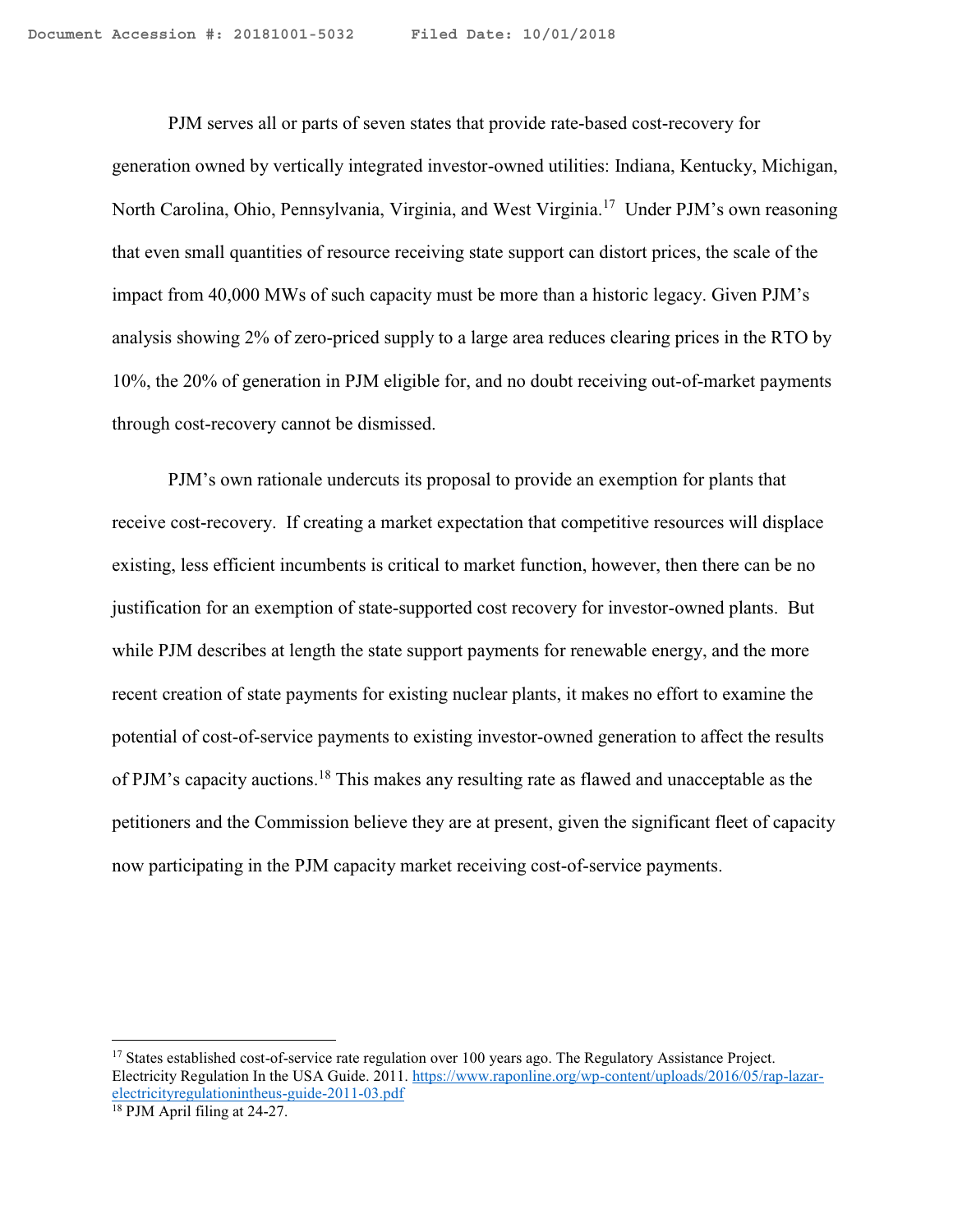PJM serves all or parts of seven states that provide rate-based cost-recovery for generation owned by vertically integrated investor-owned utilities: Indiana, Kentucky, Michigan, North Carolina, Ohio, Pennsylvania, Virginia, and West Virginia.<sup>17</sup> Under PJM's own reasoning that even small quantities of resource receiving state support can distort prices, the scale of the impact from 40,000 MWs of such capacity must be more than a historic legacy. Given PJM's analysis showing 2% of zero-priced supply to a large area reduces clearing prices in the RTO by 10%, the 20% of generation in PJM eligible for, and no doubt receiving out-of-market payments through cost-recovery cannot be dismissed.

PJM's own rationale undercuts its proposal to provide an exemption for plants that receive cost-recovery. If creating a market expectation that competitive resources will displace existing, less efficient incumbents is critical to market function, however, then there can be no justification for an exemption of state-supported cost recovery for investor-owned plants. But while PJM describes at length the state support payments for renewable energy, and the more recent creation of state payments for existing nuclear plants, it makes no effort to examine the potential of cost-of-service payments to existing investor-owned generation to affect the results of PJM's capacity auctions.<sup>18</sup> This makes any resulting rate as flawed and unacceptable as the petitioners and the Commission believe they are at present, given the significant fleet of capacity now participating in the PJM capacity market receiving cost-of-service payments.

 $\overline{a}$ 

<sup>&</sup>lt;sup>17</sup> States established cost-of-service rate regulation over 100 years ago. The Regulatory Assistance Project. Electricity Regulation In the USA Guide. 2011. [https://www.raponline.org/wp-content/uploads/2016/05/rap-lazar](https://www.raponline.org/wp-content/uploads/2016/05/rap-lazar-electricityregulationintheus-guide-2011-03.pdf)[electricityregulationintheus-guide-2011-03.pdf](https://www.raponline.org/wp-content/uploads/2016/05/rap-lazar-electricityregulationintheus-guide-2011-03.pdf)

<sup>18</sup> PJM April filing at 24-27.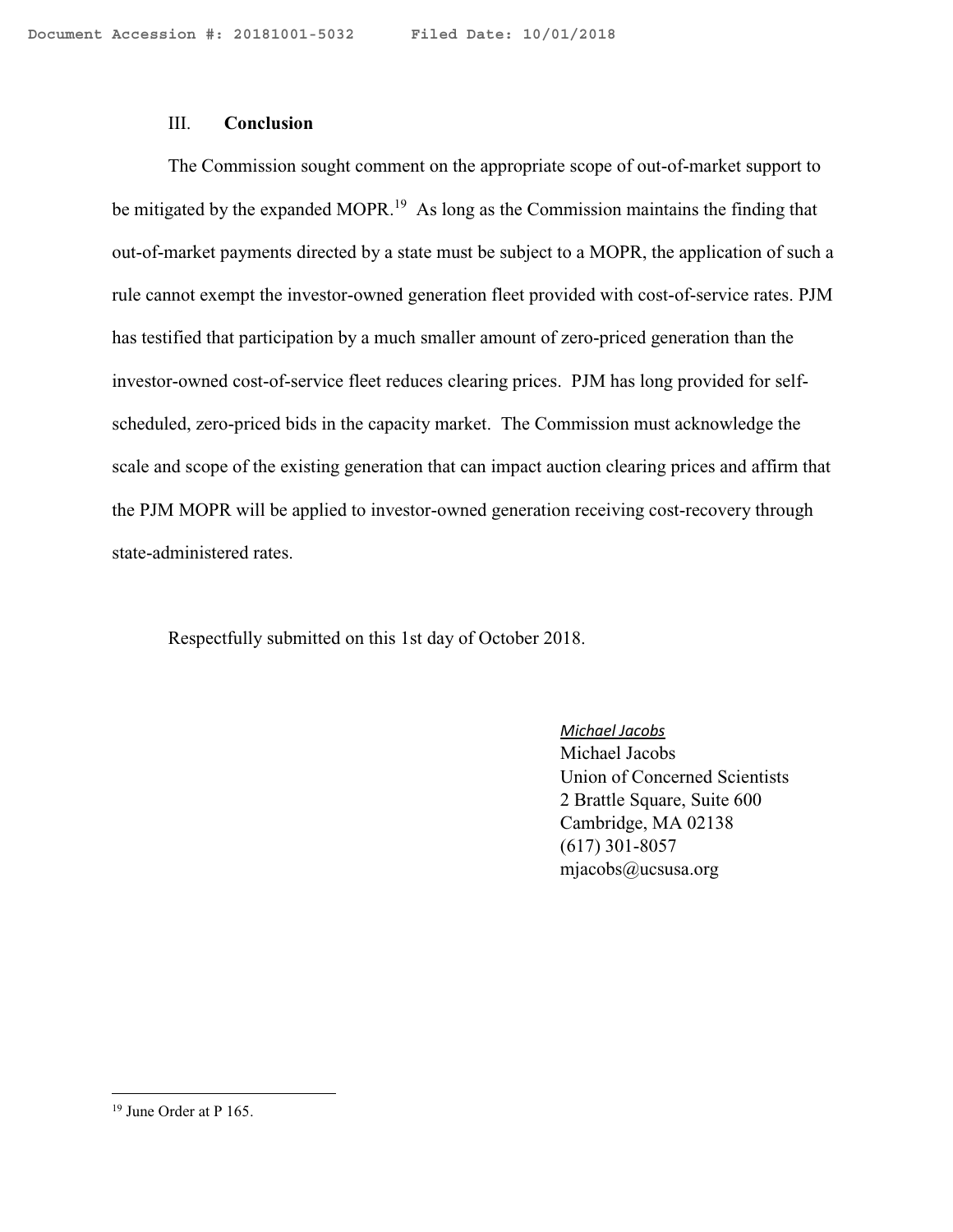### III. **Conclusion**

The Commission sought comment on the appropriate scope of out-of-market support to be mitigated by the expanded MOPR.<sup>19</sup> As long as the Commission maintains the finding that out-of-market payments directed by a state must be subject to a MOPR, the application of such a rule cannot exempt the investor-owned generation fleet provided with cost-of-service rates. PJM has testified that participation by a much smaller amount of zero-priced generation than the investor-owned cost-of-service fleet reduces clearing prices. PJM has long provided for selfscheduled, zero-priced bids in the capacity market. The Commission must acknowledge the scale and scope of the existing generation that can impact auction clearing prices and affirm that the PJM MOPR will be applied to investor-owned generation receiving cost-recovery through state-administered rates.

Respectfully submitted on this 1st day of October 2018.

*Michael Jacobs* Michael Jacobs Union of Concerned Scientists 2 Brattle Square, Suite 600 Cambridge, MA 02138 (617) 301-8057 mjacobs@ucsusa.org

<sup>19</sup> June Order at P 165.